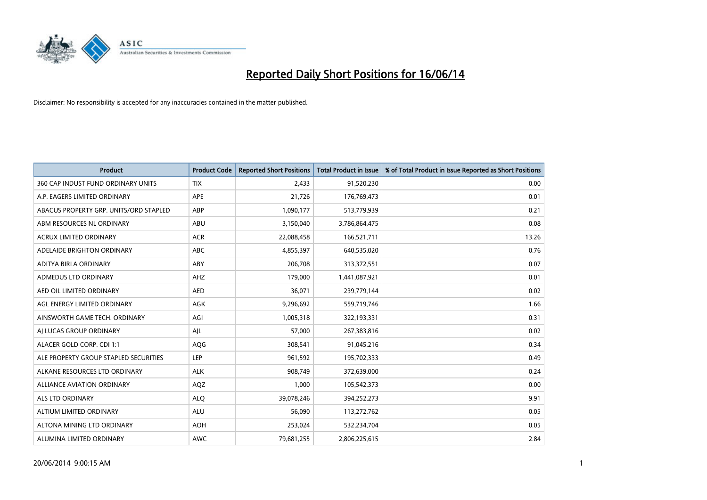

| <b>Product</b>                         | <b>Product Code</b> | <b>Reported Short Positions</b> | <b>Total Product in Issue</b> | % of Total Product in Issue Reported as Short Positions |
|----------------------------------------|---------------------|---------------------------------|-------------------------------|---------------------------------------------------------|
| 360 CAP INDUST FUND ORDINARY UNITS     | <b>TIX</b>          | 2,433                           | 91,520,230                    | 0.00                                                    |
| A.P. EAGERS LIMITED ORDINARY           | APE                 | 21,726                          | 176,769,473                   | 0.01                                                    |
| ABACUS PROPERTY GRP. UNITS/ORD STAPLED | ABP                 | 1,090,177                       | 513,779,939                   | 0.21                                                    |
| ABM RESOURCES NL ORDINARY              | ABU                 | 3,150,040                       | 3,786,864,475                 | 0.08                                                    |
| <b>ACRUX LIMITED ORDINARY</b>          | <b>ACR</b>          | 22,088,458                      | 166,521,711                   | 13.26                                                   |
| ADELAIDE BRIGHTON ORDINARY             | <b>ABC</b>          | 4,855,397                       | 640,535,020                   | 0.76                                                    |
| ADITYA BIRLA ORDINARY                  | ABY                 | 206,708                         | 313,372,551                   | 0.07                                                    |
| ADMEDUS LTD ORDINARY                   | AHZ                 | 179,000                         | 1,441,087,921                 | 0.01                                                    |
| AED OIL LIMITED ORDINARY               | <b>AED</b>          | 36,071                          | 239,779,144                   | 0.02                                                    |
| AGL ENERGY LIMITED ORDINARY            | <b>AGK</b>          | 9,296,692                       | 559,719,746                   | 1.66                                                    |
| AINSWORTH GAME TECH. ORDINARY          | AGI                 | 1,005,318                       | 322,193,331                   | 0.31                                                    |
| AI LUCAS GROUP ORDINARY                | AJL                 | 57,000                          | 267,383,816                   | 0.02                                                    |
| ALACER GOLD CORP. CDI 1:1              | AQG                 | 308,541                         | 91,045,216                    | 0.34                                                    |
| ALE PROPERTY GROUP STAPLED SECURITIES  | LEP                 | 961,592                         | 195,702,333                   | 0.49                                                    |
| ALKANE RESOURCES LTD ORDINARY          | <b>ALK</b>          | 908,749                         | 372,639,000                   | 0.24                                                    |
| ALLIANCE AVIATION ORDINARY             | AQZ                 | 1,000                           | 105,542,373                   | 0.00                                                    |
| ALS LTD ORDINARY                       | <b>ALQ</b>          | 39,078,246                      | 394,252,273                   | 9.91                                                    |
| ALTIUM LIMITED ORDINARY                | ALU                 | 56,090                          | 113,272,762                   | 0.05                                                    |
| ALTONA MINING LTD ORDINARY             | <b>AOH</b>          | 253,024                         | 532,234,704                   | 0.05                                                    |
| ALUMINA LIMITED ORDINARY               | <b>AWC</b>          | 79,681,255                      | 2,806,225,615                 | 2.84                                                    |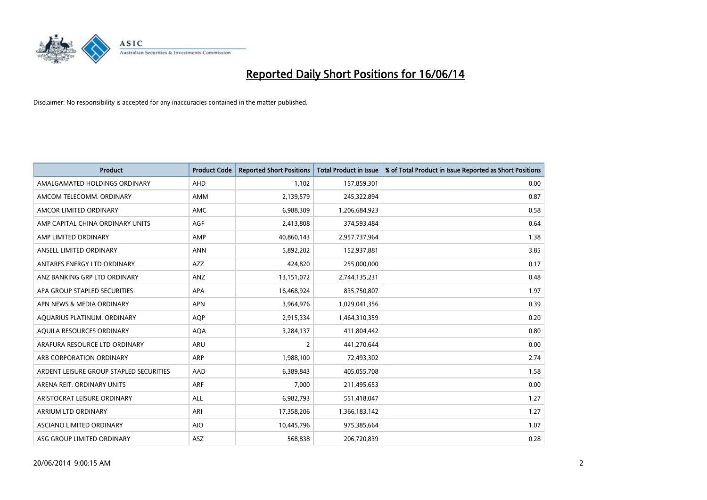

| <b>Product</b>                          | <b>Product Code</b> | <b>Reported Short Positions</b> | <b>Total Product in Issue</b> | % of Total Product in Issue Reported as Short Positions |
|-----------------------------------------|---------------------|---------------------------------|-------------------------------|---------------------------------------------------------|
| AMALGAMATED HOLDINGS ORDINARY           | AHD                 | 1,102                           | 157,859,301                   | 0.00                                                    |
| AMCOM TELECOMM. ORDINARY                | AMM                 | 2,139,579                       | 245,322,894                   | 0.87                                                    |
| AMCOR LIMITED ORDINARY                  | AMC                 | 6,988,309                       | 1,206,684,923                 | 0.58                                                    |
| AMP CAPITAL CHINA ORDINARY UNITS        | AGF                 | 2,413,808                       | 374,593,484                   | 0.64                                                    |
| AMP LIMITED ORDINARY                    | AMP                 | 40,860,143                      | 2,957,737,964                 | 1.38                                                    |
| ANSELL LIMITED ORDINARY                 | <b>ANN</b>          | 5,892,202                       | 152,937,881                   | 3.85                                                    |
| ANTARES ENERGY LTD ORDINARY             | AZZ                 | 424,820                         | 255,000,000                   | 0.17                                                    |
| ANZ BANKING GRP LTD ORDINARY            | ANZ                 | 13, 151, 072                    | 2,744,135,231                 | 0.48                                                    |
| APA GROUP STAPLED SECURITIES            | <b>APA</b>          | 16,468,924                      | 835,750,807                   | 1.97                                                    |
| APN NEWS & MEDIA ORDINARY               | <b>APN</b>          | 3,964,976                       | 1,029,041,356                 | 0.39                                                    |
| AQUARIUS PLATINUM. ORDINARY             | AQP                 | 2,915,334                       | 1,464,310,359                 | 0.20                                                    |
| AOUILA RESOURCES ORDINARY               | <b>AQA</b>          | 3,284,137                       | 411,804,442                   | 0.80                                                    |
| ARAFURA RESOURCE LTD ORDINARY           | <b>ARU</b>          | $\overline{2}$                  | 441,270,644                   | 0.00                                                    |
| ARB CORPORATION ORDINARY                | <b>ARP</b>          | 1,988,100                       | 72,493,302                    | 2.74                                                    |
| ARDENT LEISURE GROUP STAPLED SECURITIES | AAD                 | 6,389,843                       | 405,055,708                   | 1.58                                                    |
| ARENA REIT. ORDINARY UNITS              | <b>ARF</b>          | 7,000                           | 211,495,653                   | 0.00                                                    |
| ARISTOCRAT LEISURE ORDINARY             | ALL                 | 6,982,793                       | 551,418,047                   | 1.27                                                    |
| ARRIUM LTD ORDINARY                     | ARI                 | 17,358,206                      | 1,366,183,142                 | 1.27                                                    |
| ASCIANO LIMITED ORDINARY                | <b>AIO</b>          | 10,445,796                      | 975,385,664                   | 1.07                                                    |
| ASG GROUP LIMITED ORDINARY              | ASZ                 | 568,838                         | 206,720,839                   | 0.28                                                    |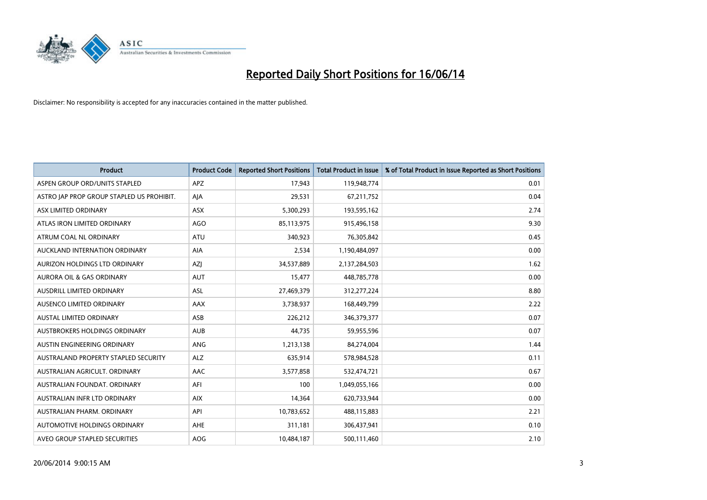

| <b>Product</b>                            | <b>Product Code</b> | <b>Reported Short Positions</b> | <b>Total Product in Issue</b> | % of Total Product in Issue Reported as Short Positions |
|-------------------------------------------|---------------------|---------------------------------|-------------------------------|---------------------------------------------------------|
| ASPEN GROUP ORD/UNITS STAPLED             | <b>APZ</b>          | 17,943                          | 119,948,774                   | 0.01                                                    |
| ASTRO JAP PROP GROUP STAPLED US PROHIBIT. | AJA                 | 29,531                          | 67,211,752                    | 0.04                                                    |
| ASX LIMITED ORDINARY                      | <b>ASX</b>          | 5,300,293                       | 193,595,162                   | 2.74                                                    |
| ATLAS IRON LIMITED ORDINARY               | AGO                 | 85,113,975                      | 915,496,158                   | 9.30                                                    |
| ATRUM COAL NL ORDINARY                    | ATU                 | 340,923                         | 76,305,842                    | 0.45                                                    |
| AUCKLAND INTERNATION ORDINARY             | <b>AIA</b>          | 2,534                           | 1,190,484,097                 | 0.00                                                    |
| AURIZON HOLDINGS LTD ORDINARY             | AZJ                 | 34,537,889                      | 2,137,284,503                 | 1.62                                                    |
| AURORA OIL & GAS ORDINARY                 | <b>AUT</b>          | 15,477                          | 448,785,778                   | 0.00                                                    |
| AUSDRILL LIMITED ORDINARY                 | <b>ASL</b>          | 27,469,379                      | 312,277,224                   | 8.80                                                    |
| AUSENCO LIMITED ORDINARY                  | AAX                 | 3,738,937                       | 168,449,799                   | 2.22                                                    |
| AUSTAL LIMITED ORDINARY                   | ASB                 | 226,212                         | 346,379,377                   | 0.07                                                    |
| AUSTBROKERS HOLDINGS ORDINARY             | <b>AUB</b>          | 44,735                          | 59,955,596                    | 0.07                                                    |
| AUSTIN ENGINEERING ORDINARY               | ANG                 | 1,213,138                       | 84,274,004                    | 1.44                                                    |
| AUSTRALAND PROPERTY STAPLED SECURITY      | <b>ALZ</b>          | 635,914                         | 578,984,528                   | 0.11                                                    |
| AUSTRALIAN AGRICULT, ORDINARY             | <b>AAC</b>          | 3,577,858                       | 532,474,721                   | 0.67                                                    |
| AUSTRALIAN FOUNDAT. ORDINARY              | AFI                 | 100                             | 1,049,055,166                 | 0.00                                                    |
| AUSTRALIAN INFR LTD ORDINARY              | <b>AIX</b>          | 14,364                          | 620,733,944                   | 0.00                                                    |
| AUSTRALIAN PHARM. ORDINARY                | API                 | 10,783,652                      | 488,115,883                   | 2.21                                                    |
| AUTOMOTIVE HOLDINGS ORDINARY              | AHE                 | 311,181                         | 306,437,941                   | 0.10                                                    |
| AVEO GROUP STAPLED SECURITIES             | AOG                 | 10,484,187                      | 500,111,460                   | 2.10                                                    |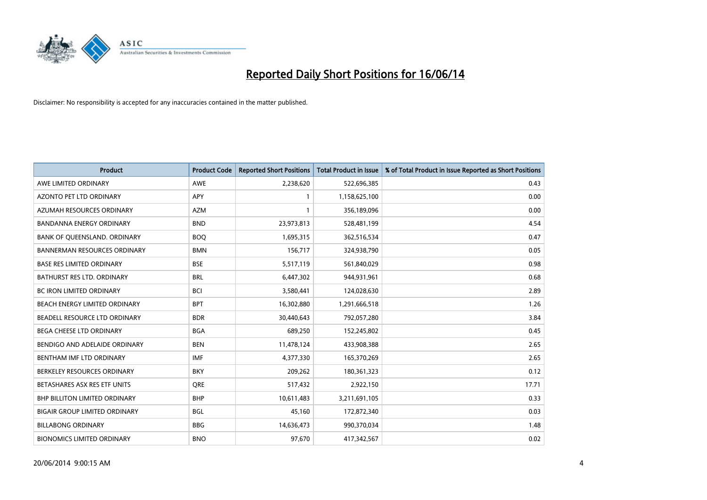

| <b>Product</b>                       | <b>Product Code</b> | <b>Reported Short Positions</b> | <b>Total Product in Issue</b> | % of Total Product in Issue Reported as Short Positions |
|--------------------------------------|---------------------|---------------------------------|-------------------------------|---------------------------------------------------------|
| AWE LIMITED ORDINARY                 | <b>AWE</b>          | 2,238,620                       | 522,696,385                   | 0.43                                                    |
| AZONTO PET LTD ORDINARY              | APY                 | $\mathbf{1}$                    | 1,158,625,100                 | 0.00                                                    |
| AZUMAH RESOURCES ORDINARY            | <b>AZM</b>          | $\mathbf{1}$                    | 356,189,096                   | 0.00                                                    |
| BANDANNA ENERGY ORDINARY             | <b>BND</b>          | 23,973,813                      | 528,481,199                   | 4.54                                                    |
| BANK OF QUEENSLAND. ORDINARY         | <b>BOQ</b>          | 1,695,315                       | 362,516,534                   | 0.47                                                    |
| <b>BANNERMAN RESOURCES ORDINARY</b>  | <b>BMN</b>          | 156,717                         | 324,938,790                   | 0.05                                                    |
| <b>BASE RES LIMITED ORDINARY</b>     | <b>BSE</b>          | 5,517,119                       | 561,840,029                   | 0.98                                                    |
| <b>BATHURST RES LTD. ORDINARY</b>    | <b>BRL</b>          | 6,447,302                       | 944,931,961                   | 0.68                                                    |
| <b>BC IRON LIMITED ORDINARY</b>      | <b>BCI</b>          | 3,580,441                       | 124,028,630                   | 2.89                                                    |
| BEACH ENERGY LIMITED ORDINARY        | <b>BPT</b>          | 16,302,880                      | 1,291,666,518                 | 1.26                                                    |
| BEADELL RESOURCE LTD ORDINARY        | <b>BDR</b>          | 30,440,643                      | 792,057,280                   | 3.84                                                    |
| <b>BEGA CHEESE LTD ORDINARY</b>      | <b>BGA</b>          | 689,250                         | 152,245,802                   | 0.45                                                    |
| BENDIGO AND ADELAIDE ORDINARY        | <b>BEN</b>          | 11,478,124                      | 433,908,388                   | 2.65                                                    |
| BENTHAM IMF LTD ORDINARY             | <b>IMF</b>          | 4,377,330                       | 165,370,269                   | 2.65                                                    |
| BERKELEY RESOURCES ORDINARY          | <b>BKY</b>          | 209,262                         | 180,361,323                   | 0.12                                                    |
| BETASHARES ASX RES ETF UNITS         | <b>ORE</b>          | 517,432                         | 2,922,150                     | 17.71                                                   |
| BHP BILLITON LIMITED ORDINARY        | <b>BHP</b>          | 10,611,483                      | 3,211,691,105                 | 0.33                                                    |
| <b>BIGAIR GROUP LIMITED ORDINARY</b> | <b>BGL</b>          | 45,160                          | 172,872,340                   | 0.03                                                    |
| <b>BILLABONG ORDINARY</b>            | <b>BBG</b>          | 14,636,473                      | 990,370,034                   | 1.48                                                    |
| <b>BIONOMICS LIMITED ORDINARY</b>    | <b>BNO</b>          | 97,670                          | 417,342,567                   | 0.02                                                    |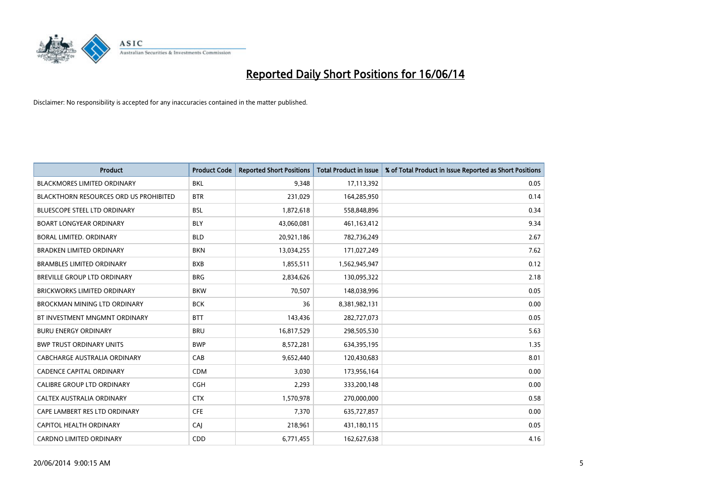

| <b>Product</b>                         | <b>Product Code</b> | <b>Reported Short Positions</b> | <b>Total Product in Issue</b> | % of Total Product in Issue Reported as Short Positions |
|----------------------------------------|---------------------|---------------------------------|-------------------------------|---------------------------------------------------------|
| <b>BLACKMORES LIMITED ORDINARY</b>     | <b>BKL</b>          | 9,348                           | 17,113,392                    | 0.05                                                    |
| BLACKTHORN RESOURCES ORD US PROHIBITED | <b>BTR</b>          | 231,029                         | 164,285,950                   | 0.14                                                    |
| <b>BLUESCOPE STEEL LTD ORDINARY</b>    | <b>BSL</b>          | 1,872,618                       | 558,848,896                   | 0.34                                                    |
| <b>BOART LONGYEAR ORDINARY</b>         | <b>BLY</b>          | 43,060,081                      | 461,163,412                   | 9.34                                                    |
| <b>BORAL LIMITED, ORDINARY</b>         | <b>BLD</b>          | 20,921,186                      | 782,736,249                   | 2.67                                                    |
| <b>BRADKEN LIMITED ORDINARY</b>        | <b>BKN</b>          | 13,034,255                      | 171,027,249                   | 7.62                                                    |
| <b>BRAMBLES LIMITED ORDINARY</b>       | <b>BXB</b>          | 1,855,511                       | 1,562,945,947                 | 0.12                                                    |
| <b>BREVILLE GROUP LTD ORDINARY</b>     | <b>BRG</b>          | 2,834,626                       | 130,095,322                   | 2.18                                                    |
| <b>BRICKWORKS LIMITED ORDINARY</b>     | <b>BKW</b>          | 70,507                          | 148,038,996                   | 0.05                                                    |
| <b>BROCKMAN MINING LTD ORDINARY</b>    | <b>BCK</b>          | 36                              | 8,381,982,131                 | 0.00                                                    |
| BT INVESTMENT MNGMNT ORDINARY          | <b>BTT</b>          | 143,436                         | 282,727,073                   | 0.05                                                    |
| <b>BURU ENERGY ORDINARY</b>            | <b>BRU</b>          | 16,817,529                      | 298,505,530                   | 5.63                                                    |
| <b>BWP TRUST ORDINARY UNITS</b>        | <b>BWP</b>          | 8,572,281                       | 634,395,195                   | 1.35                                                    |
| <b>CABCHARGE AUSTRALIA ORDINARY</b>    | CAB                 | 9,652,440                       | 120,430,683                   | 8.01                                                    |
| <b>CADENCE CAPITAL ORDINARY</b>        | <b>CDM</b>          | 3,030                           | 173,956,164                   | 0.00                                                    |
| CALIBRE GROUP LTD ORDINARY             | <b>CGH</b>          | 2,293                           | 333,200,148                   | 0.00                                                    |
| CALTEX AUSTRALIA ORDINARY              | <b>CTX</b>          | 1,570,978                       | 270,000,000                   | 0.58                                                    |
| CAPE LAMBERT RES LTD ORDINARY          | <b>CFE</b>          | 7,370                           | 635,727,857                   | 0.00                                                    |
| <b>CAPITOL HEALTH ORDINARY</b>         | <b>CAJ</b>          | 218,961                         | 431,180,115                   | 0.05                                                    |
| <b>CARDNO LIMITED ORDINARY</b>         | CDD                 | 6,771,455                       | 162,627,638                   | 4.16                                                    |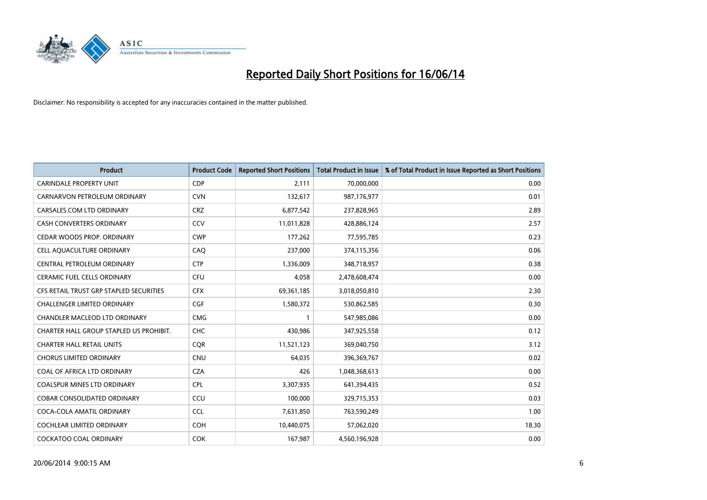

| <b>Product</b>                          | <b>Product Code</b> | <b>Reported Short Positions</b> | <b>Total Product in Issue</b> | % of Total Product in Issue Reported as Short Positions |
|-----------------------------------------|---------------------|---------------------------------|-------------------------------|---------------------------------------------------------|
| <b>CARINDALE PROPERTY UNIT</b>          | <b>CDP</b>          | 2,111                           | 70,000,000                    | 0.00                                                    |
| CARNARVON PETROLEUM ORDINARY            | <b>CVN</b>          | 132,617                         | 987,176,977                   | 0.01                                                    |
| CARSALES.COM LTD ORDINARY               | <b>CRZ</b>          | 6,877,542                       | 237,828,965                   | 2.89                                                    |
| CASH CONVERTERS ORDINARY                | CCV                 | 11,011,828                      | 428,886,124                   | 2.57                                                    |
| CEDAR WOODS PROP. ORDINARY              | <b>CWP</b>          | 177,262                         | 77,595,785                    | 0.23                                                    |
| CELL AQUACULTURE ORDINARY               | CAQ                 | 237,000                         | 374,115,356                   | 0.06                                                    |
| <b>CENTRAL PETROLEUM ORDINARY</b>       | <b>CTP</b>          | 1,336,009                       | 348,718,957                   | 0.38                                                    |
| CERAMIC FUEL CELLS ORDINARY             | <b>CFU</b>          | 4,058                           | 2,478,608,474                 | 0.00                                                    |
| CFS RETAIL TRUST GRP STAPLED SECURITIES | <b>CFX</b>          | 69,361,185                      | 3,018,050,810                 | 2.30                                                    |
| <b>CHALLENGER LIMITED ORDINARY</b>      | <b>CGF</b>          | 1,580,372                       | 530,862,585                   | 0.30                                                    |
| CHANDLER MACLEOD LTD ORDINARY           | <b>CMG</b>          | 1                               | 547,985,086                   | 0.00                                                    |
| CHARTER HALL GROUP STAPLED US PROHIBIT. | <b>CHC</b>          | 430,986                         | 347,925,558                   | 0.12                                                    |
| <b>CHARTER HALL RETAIL UNITS</b>        | <b>CQR</b>          | 11,521,123                      | 369,040,750                   | 3.12                                                    |
| <b>CHORUS LIMITED ORDINARY</b>          | <b>CNU</b>          | 64,035                          | 396,369,767                   | 0.02                                                    |
| COAL OF AFRICA LTD ORDINARY             | <b>CZA</b>          | 426                             | 1,048,368,613                 | 0.00                                                    |
| <b>COALSPUR MINES LTD ORDINARY</b>      | <b>CPL</b>          | 3,307,935                       | 641,394,435                   | 0.52                                                    |
| <b>COBAR CONSOLIDATED ORDINARY</b>      | CCU                 | 100,000                         | 329,715,353                   | 0.03                                                    |
| COCA-COLA AMATIL ORDINARY               | <b>CCL</b>          | 7,631,850                       | 763,590,249                   | 1.00                                                    |
| <b>COCHLEAR LIMITED ORDINARY</b>        | <b>COH</b>          | 10,440,075                      | 57,062,020                    | 18.30                                                   |
| <b>COCKATOO COAL ORDINARY</b>           | <b>COK</b>          | 167,987                         | 4,560,196,928                 | 0.00                                                    |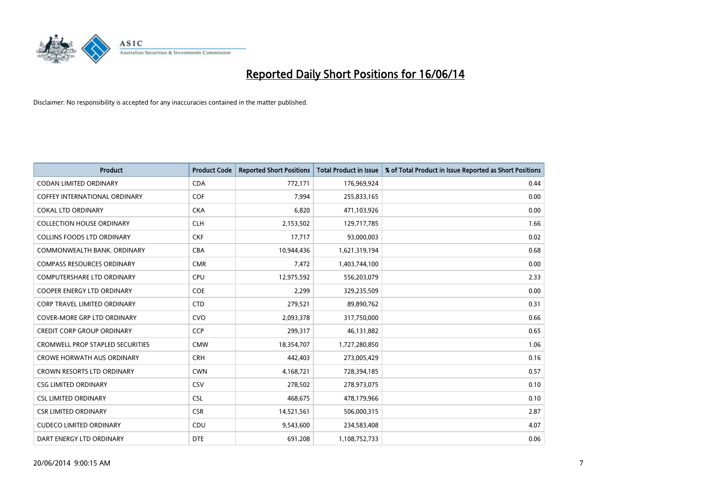

| <b>Product</b>                          | <b>Product Code</b> | <b>Reported Short Positions</b> | <b>Total Product in Issue</b> | % of Total Product in Issue Reported as Short Positions |
|-----------------------------------------|---------------------|---------------------------------|-------------------------------|---------------------------------------------------------|
| <b>CODAN LIMITED ORDINARY</b>           | <b>CDA</b>          | 772,171                         | 176,969,924                   | 0.44                                                    |
| COFFEY INTERNATIONAL ORDINARY           | <b>COF</b>          | 7,994                           | 255,833,165                   | 0.00                                                    |
| <b>COKAL LTD ORDINARY</b>               | <b>CKA</b>          | 6,820                           | 471,103,926                   | 0.00                                                    |
| <b>COLLECTION HOUSE ORDINARY</b>        | <b>CLH</b>          | 2,153,502                       | 129,717,785                   | 1.66                                                    |
| <b>COLLINS FOODS LTD ORDINARY</b>       | <b>CKF</b>          | 17,717                          | 93,000,003                    | 0.02                                                    |
| COMMONWEALTH BANK, ORDINARY             | <b>CBA</b>          | 10,944,436                      | 1,621,319,194                 | 0.68                                                    |
| COMPASS RESOURCES ORDINARY              | <b>CMR</b>          | 7,472                           | 1,403,744,100                 | 0.00                                                    |
| <b>COMPUTERSHARE LTD ORDINARY</b>       | <b>CPU</b>          | 12,975,592                      | 556,203,079                   | 2.33                                                    |
| <b>COOPER ENERGY LTD ORDINARY</b>       | <b>COE</b>          | 2,299                           | 329,235,509                   | 0.00                                                    |
| <b>CORP TRAVEL LIMITED ORDINARY</b>     | <b>CTD</b>          | 279,521                         | 89,890,762                    | 0.31                                                    |
| <b>COVER-MORE GRP LTD ORDINARY</b>      | <b>CVO</b>          | 2,093,378                       | 317,750,000                   | 0.66                                                    |
| CREDIT CORP GROUP ORDINARY              | <b>CCP</b>          | 299,317                         | 46,131,882                    | 0.65                                                    |
| <b>CROMWELL PROP STAPLED SECURITIES</b> | <b>CMW</b>          | 18,354,707                      | 1,727,280,850                 | 1.06                                                    |
| <b>CROWE HORWATH AUS ORDINARY</b>       | <b>CRH</b>          | 442,403                         | 273,005,429                   | 0.16                                                    |
| CROWN RESORTS LTD ORDINARY              | <b>CWN</b>          | 4,168,721                       | 728,394,185                   | 0.57                                                    |
| <b>CSG LIMITED ORDINARY</b>             | <b>CSV</b>          | 278,502                         | 278,973,075                   | 0.10                                                    |
| <b>CSL LIMITED ORDINARY</b>             | <b>CSL</b>          | 468,675                         | 478,179,966                   | 0.10                                                    |
| <b>CSR LIMITED ORDINARY</b>             | <b>CSR</b>          | 14,521,561                      | 506,000,315                   | 2.87                                                    |
| <b>CUDECO LIMITED ORDINARY</b>          | CDU                 | 9,543,600                       | 234,583,408                   | 4.07                                                    |
| DART ENERGY LTD ORDINARY                | <b>DTE</b>          | 691,208                         | 1,108,752,733                 | 0.06                                                    |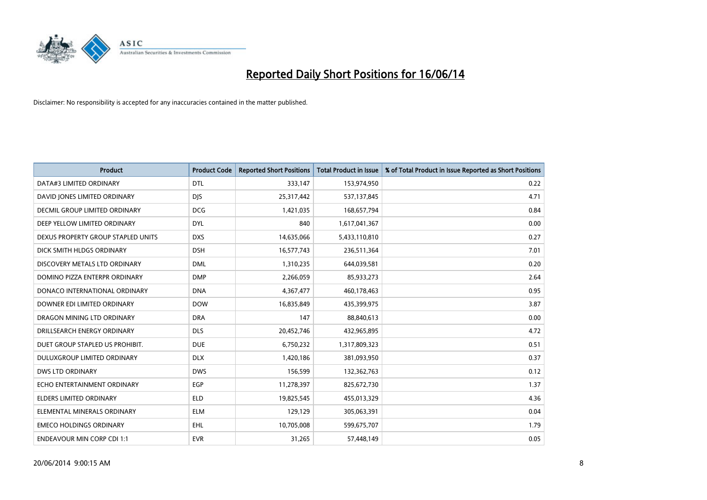

| <b>Product</b>                     | <b>Product Code</b> | <b>Reported Short Positions</b> | <b>Total Product in Issue</b> | % of Total Product in Issue Reported as Short Positions |
|------------------------------------|---------------------|---------------------------------|-------------------------------|---------------------------------------------------------|
| DATA#3 LIMITED ORDINARY            | <b>DTL</b>          | 333,147                         | 153,974,950                   | 0.22                                                    |
| DAVID JONES LIMITED ORDINARY       | <b>DIS</b>          | 25,317,442                      | 537,137,845                   | 4.71                                                    |
| DECMIL GROUP LIMITED ORDINARY      | <b>DCG</b>          | 1,421,035                       | 168,657,794                   | 0.84                                                    |
| DEEP YELLOW LIMITED ORDINARY       | <b>DYL</b>          | 840                             | 1,617,041,367                 | 0.00                                                    |
| DEXUS PROPERTY GROUP STAPLED UNITS | <b>DXS</b>          | 14,635,066                      | 5,433,110,810                 | 0.27                                                    |
| DICK SMITH HLDGS ORDINARY          | <b>DSH</b>          | 16,577,743                      | 236,511,364                   | 7.01                                                    |
| DISCOVERY METALS LTD ORDINARY      | <b>DML</b>          | 1,310,235                       | 644,039,581                   | 0.20                                                    |
| DOMINO PIZZA ENTERPR ORDINARY      | <b>DMP</b>          | 2,266,059                       | 85,933,273                    | 2.64                                                    |
| DONACO INTERNATIONAL ORDINARY      | <b>DNA</b>          | 4,367,477                       | 460,178,463                   | 0.95                                                    |
| DOWNER EDI LIMITED ORDINARY        | <b>DOW</b>          | 16,835,849                      | 435,399,975                   | 3.87                                                    |
| DRAGON MINING LTD ORDINARY         | <b>DRA</b>          | 147                             | 88,840,613                    | 0.00                                                    |
| DRILLSEARCH ENERGY ORDINARY        | <b>DLS</b>          | 20,452,746                      | 432,965,895                   | 4.72                                                    |
| DUET GROUP STAPLED US PROHIBIT.    | <b>DUE</b>          | 6,750,232                       | 1,317,809,323                 | 0.51                                                    |
| DULUXGROUP LIMITED ORDINARY        | <b>DLX</b>          | 1,420,186                       | 381,093,950                   | 0.37                                                    |
| <b>DWS LTD ORDINARY</b>            | <b>DWS</b>          | 156,599                         | 132,362,763                   | 0.12                                                    |
| ECHO ENTERTAINMENT ORDINARY        | EGP                 | 11,278,397                      | 825,672,730                   | 1.37                                                    |
| ELDERS LIMITED ORDINARY            | <b>ELD</b>          | 19,825,545                      | 455,013,329                   | 4.36                                                    |
| ELEMENTAL MINERALS ORDINARY        | <b>ELM</b>          | 129,129                         | 305,063,391                   | 0.04                                                    |
| <b>EMECO HOLDINGS ORDINARY</b>     | <b>EHL</b>          | 10,705,008                      | 599,675,707                   | 1.79                                                    |
| <b>ENDEAVOUR MIN CORP CDI 1:1</b>  | <b>EVR</b>          | 31,265                          | 57,448,149                    | 0.05                                                    |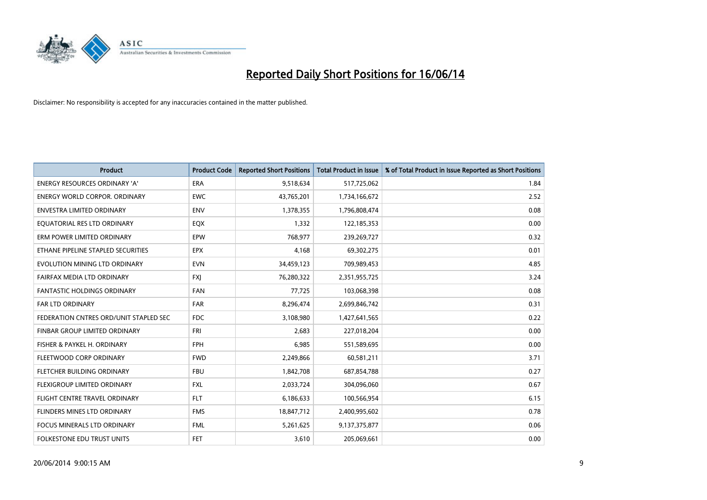

| <b>Product</b>                         | <b>Product Code</b> | <b>Reported Short Positions</b> | <b>Total Product in Issue</b> | % of Total Product in Issue Reported as Short Positions |
|----------------------------------------|---------------------|---------------------------------|-------------------------------|---------------------------------------------------------|
| <b>ENERGY RESOURCES ORDINARY 'A'</b>   | <b>ERA</b>          | 9,518,634                       | 517,725,062                   | 1.84                                                    |
| <b>ENERGY WORLD CORPOR, ORDINARY</b>   | <b>EWC</b>          | 43,765,201                      | 1,734,166,672                 | 2.52                                                    |
| <b>ENVESTRA LIMITED ORDINARY</b>       | <b>ENV</b>          | 1,378,355                       | 1,796,808,474                 | 0.08                                                    |
| EQUATORIAL RES LTD ORDINARY            | EQX                 | 1,332                           | 122,185,353                   | 0.00                                                    |
| ERM POWER LIMITED ORDINARY             | EPW                 | 768,977                         | 239,269,727                   | 0.32                                                    |
| ETHANE PIPELINE STAPLED SECURITIES     | <b>EPX</b>          | 4,168                           | 69,302,275                    | 0.01                                                    |
| EVOLUTION MINING LTD ORDINARY          | <b>EVN</b>          | 34,459,123                      | 709,989,453                   | 4.85                                                    |
| FAIRFAX MEDIA LTD ORDINARY             | <b>FXJ</b>          | 76,280,322                      | 2,351,955,725                 | 3.24                                                    |
| <b>FANTASTIC HOLDINGS ORDINARY</b>     | <b>FAN</b>          | 77,725                          | 103,068,398                   | 0.08                                                    |
| <b>FAR LTD ORDINARY</b>                | FAR                 | 8,296,474                       | 2,699,846,742                 | 0.31                                                    |
| FEDERATION CNTRES ORD/UNIT STAPLED SEC | <b>FDC</b>          | 3,108,980                       | 1,427,641,565                 | 0.22                                                    |
| FINBAR GROUP LIMITED ORDINARY          | <b>FRI</b>          | 2,683                           | 227,018,204                   | 0.00                                                    |
| FISHER & PAYKEL H. ORDINARY            | <b>FPH</b>          | 6,985                           | 551,589,695                   | 0.00                                                    |
| FLEETWOOD CORP ORDINARY                | <b>FWD</b>          | 2,249,866                       | 60,581,211                    | 3.71                                                    |
| FLETCHER BUILDING ORDINARY             | <b>FBU</b>          | 1,842,708                       | 687,854,788                   | 0.27                                                    |
| FLEXIGROUP LIMITED ORDINARY            | <b>FXL</b>          | 2,033,724                       | 304,096,060                   | 0.67                                                    |
| FLIGHT CENTRE TRAVEL ORDINARY          | <b>FLT</b>          | 6,186,633                       | 100,566,954                   | 6.15                                                    |
| FLINDERS MINES LTD ORDINARY            | <b>FMS</b>          | 18,847,712                      | 2,400,995,602                 | 0.78                                                    |
| <b>FOCUS MINERALS LTD ORDINARY</b>     | <b>FML</b>          | 5,261,625                       | 9,137,375,877                 | 0.06                                                    |
| FOLKESTONE EDU TRUST UNITS             | <b>FET</b>          | 3,610                           | 205,069,661                   | 0.00                                                    |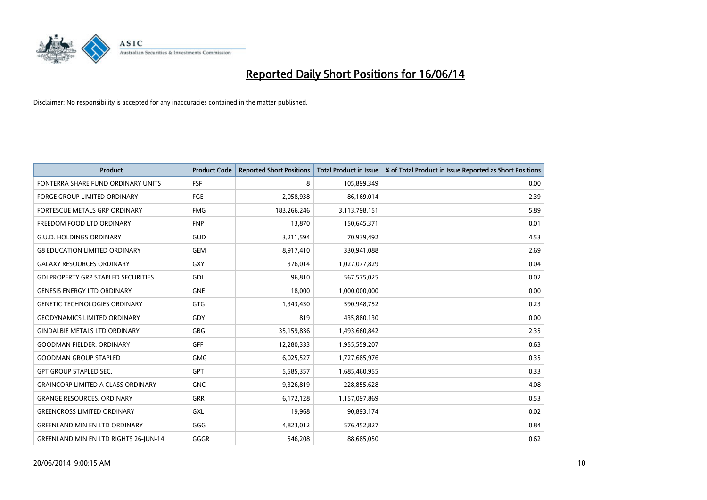

| <b>Product</b>                               | <b>Product Code</b> | <b>Reported Short Positions</b> | <b>Total Product in Issue</b> | % of Total Product in Issue Reported as Short Positions |
|----------------------------------------------|---------------------|---------------------------------|-------------------------------|---------------------------------------------------------|
| FONTERRA SHARE FUND ORDINARY UNITS           | FSF                 | 8                               | 105,899,349                   | 0.00                                                    |
| <b>FORGE GROUP LIMITED ORDINARY</b>          | <b>FGE</b>          | 2,058,938                       | 86,169,014                    | 2.39                                                    |
| <b>FORTESCUE METALS GRP ORDINARY</b>         | <b>FMG</b>          | 183,266,246                     | 3,113,798,151                 | 5.89                                                    |
| FREEDOM FOOD LTD ORDINARY                    | <b>FNP</b>          | 13,870                          | 150,645,371                   | 0.01                                                    |
| <b>G.U.D. HOLDINGS ORDINARY</b>              | GUD                 | 3,211,594                       | 70,939,492                    | 4.53                                                    |
| <b>G8 EDUCATION LIMITED ORDINARY</b>         | <b>GEM</b>          | 8,917,410                       | 330,941,088                   | 2.69                                                    |
| <b>GALAXY RESOURCES ORDINARY</b>             | GXY                 | 376,014                         | 1,027,077,829                 | 0.04                                                    |
| <b>GDI PROPERTY GRP STAPLED SECURITIES</b>   | <b>GDI</b>          | 96.810                          | 567,575,025                   | 0.02                                                    |
| <b>GENESIS ENERGY LTD ORDINARY</b>           | <b>GNE</b>          | 18,000                          | 1,000,000,000                 | 0.00                                                    |
| <b>GENETIC TECHNOLOGIES ORDINARY</b>         | <b>GTG</b>          | 1,343,430                       | 590,948,752                   | 0.23                                                    |
| <b>GEODYNAMICS LIMITED ORDINARY</b>          | GDY                 | 819                             | 435,880,130                   | 0.00                                                    |
| <b>GINDALBIE METALS LTD ORDINARY</b>         | GBG                 | 35,159,836                      | 1,493,660,842                 | 2.35                                                    |
| <b>GOODMAN FIELDER, ORDINARY</b>             | <b>GFF</b>          | 12,280,333                      | 1,955,559,207                 | 0.63                                                    |
| <b>GOODMAN GROUP STAPLED</b>                 | <b>GMG</b>          | 6,025,527                       | 1,727,685,976                 | 0.35                                                    |
| <b>GPT GROUP STAPLED SEC.</b>                | <b>GPT</b>          | 5,585,357                       | 1,685,460,955                 | 0.33                                                    |
| <b>GRAINCORP LIMITED A CLASS ORDINARY</b>    | <b>GNC</b>          | 9,326,819                       | 228,855,628                   | 4.08                                                    |
| <b>GRANGE RESOURCES. ORDINARY</b>            | GRR                 | 6,172,128                       | 1,157,097,869                 | 0.53                                                    |
| <b>GREENCROSS LIMITED ORDINARY</b>           | <b>GXL</b>          | 19,968                          | 90,893,174                    | 0.02                                                    |
| <b>GREENLAND MIN EN LTD ORDINARY</b>         | GGG                 | 4,823,012                       | 576,452,827                   | 0.84                                                    |
| <b>GREENLAND MIN EN LTD RIGHTS 26-JUN-14</b> | GGGR                | 546,208                         | 88,685,050                    | 0.62                                                    |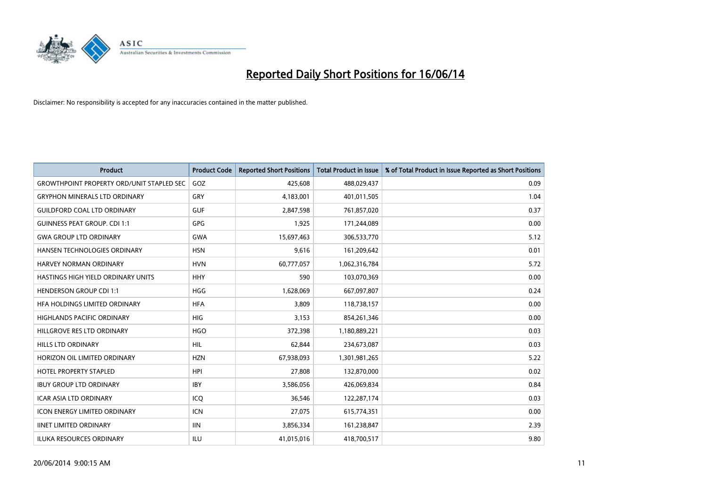

| <b>Product</b>                                   | <b>Product Code</b> | <b>Reported Short Positions</b> | <b>Total Product in Issue</b> | % of Total Product in Issue Reported as Short Positions |
|--------------------------------------------------|---------------------|---------------------------------|-------------------------------|---------------------------------------------------------|
| <b>GROWTHPOINT PROPERTY ORD/UNIT STAPLED SEC</b> | GOZ                 | 425,608                         | 488,029,437                   | 0.09                                                    |
| <b>GRYPHON MINERALS LTD ORDINARY</b>             | GRY                 | 4,183,001                       | 401,011,505                   | 1.04                                                    |
| <b>GUILDFORD COAL LTD ORDINARY</b>               | <b>GUF</b>          | 2,847,598                       | 761,857,020                   | 0.37                                                    |
| <b>GUINNESS PEAT GROUP. CDI 1:1</b>              | <b>GPG</b>          | 1,925                           | 171,244,089                   | 0.00                                                    |
| <b>GWA GROUP LTD ORDINARY</b>                    | <b>GWA</b>          | 15,697,463                      | 306,533,770                   | 5.12                                                    |
| HANSEN TECHNOLOGIES ORDINARY                     | <b>HSN</b>          | 9,616                           | 161,209,642                   | 0.01                                                    |
| <b>HARVEY NORMAN ORDINARY</b>                    | <b>HVN</b>          | 60,777,057                      | 1,062,316,784                 | 5.72                                                    |
| HASTINGS HIGH YIELD ORDINARY UNITS               | <b>HHY</b>          | 590                             | 103,070,369                   | 0.00                                                    |
| <b>HENDERSON GROUP CDI 1:1</b>                   | <b>HGG</b>          | 1,628,069                       | 667,097,807                   | 0.24                                                    |
| HFA HOLDINGS LIMITED ORDINARY                    | <b>HFA</b>          | 3,809                           | 118,738,157                   | 0.00                                                    |
| HIGHLANDS PACIFIC ORDINARY                       | <b>HIG</b>          | 3,153                           | 854,261,346                   | 0.00                                                    |
| HILLGROVE RES LTD ORDINARY                       | <b>HGO</b>          | 372,398                         | 1,180,889,221                 | 0.03                                                    |
| <b>HILLS LTD ORDINARY</b>                        | <b>HIL</b>          | 62,844                          | 234,673,087                   | 0.03                                                    |
| HORIZON OIL LIMITED ORDINARY                     | <b>HZN</b>          | 67,938,093                      | 1,301,981,265                 | 5.22                                                    |
| <b>HOTEL PROPERTY STAPLED</b>                    | <b>HPI</b>          | 27,808                          | 132,870,000                   | 0.02                                                    |
| <b>IBUY GROUP LTD ORDINARY</b>                   | <b>IBY</b>          | 3,586,056                       | 426,069,834                   | 0.84                                                    |
| ICAR ASIA LTD ORDINARY                           | ICQ                 | 36,546                          | 122,287,174                   | 0.03                                                    |
| <b>ICON ENERGY LIMITED ORDINARY</b>              | <b>ICN</b>          | 27,075                          | 615,774,351                   | 0.00                                                    |
| <b>IINET LIMITED ORDINARY</b>                    | <b>IIN</b>          | 3,856,334                       | 161,238,847                   | 2.39                                                    |
| ILUKA RESOURCES ORDINARY                         | ILU                 | 41,015,016                      | 418,700,517                   | 9.80                                                    |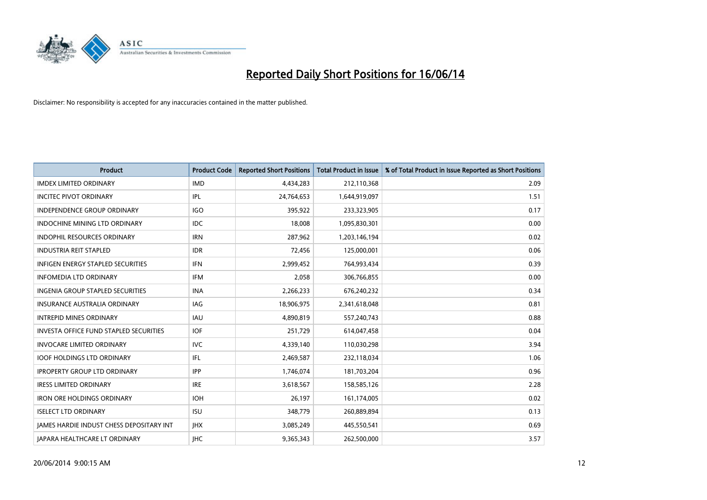

| <b>Product</b>                                  | <b>Product Code</b> | <b>Reported Short Positions</b> | <b>Total Product in Issue</b> | % of Total Product in Issue Reported as Short Positions |
|-------------------------------------------------|---------------------|---------------------------------|-------------------------------|---------------------------------------------------------|
| <b>IMDEX LIMITED ORDINARY</b>                   | <b>IMD</b>          | 4,434,283                       | 212,110,368                   | 2.09                                                    |
| <b>INCITEC PIVOT ORDINARY</b>                   | IPL                 | 24,764,653                      | 1,644,919,097                 | 1.51                                                    |
| INDEPENDENCE GROUP ORDINARY                     | <b>IGO</b>          | 395,922                         | 233,323,905                   | 0.17                                                    |
| INDOCHINE MINING LTD ORDINARY                   | <b>IDC</b>          | 18,008                          | 1,095,830,301                 | 0.00                                                    |
| <b>INDOPHIL RESOURCES ORDINARY</b>              | <b>IRN</b>          | 287,962                         | 1,203,146,194                 | 0.02                                                    |
| <b>INDUSTRIA REIT STAPLED</b>                   | <b>IDR</b>          | 72,456                          | 125,000,001                   | 0.06                                                    |
| <b>INFIGEN ENERGY STAPLED SECURITIES</b>        | <b>IFN</b>          | 2,999,452                       | 764,993,434                   | 0.39                                                    |
| <b>INFOMEDIA LTD ORDINARY</b>                   | <b>IFM</b>          | 2,058                           | 306,766,855                   | 0.00                                                    |
| INGENIA GROUP STAPLED SECURITIES                | <b>INA</b>          | 2,266,233                       | 676,240,232                   | 0.34                                                    |
| <b>INSURANCE AUSTRALIA ORDINARY</b>             | <b>IAG</b>          | 18,906,975                      | 2,341,618,048                 | 0.81                                                    |
| <b>INTREPID MINES ORDINARY</b>                  | <b>IAU</b>          | 4,890,819                       | 557,240,743                   | 0.88                                                    |
| <b>INVESTA OFFICE FUND STAPLED SECURITIES</b>   | <b>IOF</b>          | 251,729                         | 614,047,458                   | 0.04                                                    |
| <b>INVOCARE LIMITED ORDINARY</b>                | <b>IVC</b>          | 4,339,140                       | 110,030,298                   | 3.94                                                    |
| <b>IOOF HOLDINGS LTD ORDINARY</b>               | IFL                 | 2,469,587                       | 232,118,034                   | 1.06                                                    |
| <b>IPROPERTY GROUP LTD ORDINARY</b>             | <b>IPP</b>          | 1,746,074                       | 181,703,204                   | 0.96                                                    |
| <b>IRESS LIMITED ORDINARY</b>                   | <b>IRE</b>          | 3,618,567                       | 158,585,126                   | 2.28                                                    |
| <b>IRON ORE HOLDINGS ORDINARY</b>               | <b>IOH</b>          | 26,197                          | 161,174,005                   | 0.02                                                    |
| <b>ISELECT LTD ORDINARY</b>                     | <b>ISU</b>          | 348,779                         | 260,889,894                   | 0.13                                                    |
| <b>IAMES HARDIE INDUST CHESS DEPOSITARY INT</b> | <b>IHX</b>          | 3,085,249                       | 445,550,541                   | 0.69                                                    |
| JAPARA HEALTHCARE LT ORDINARY                   | <b>IHC</b>          | 9,365,343                       | 262,500,000                   | 3.57                                                    |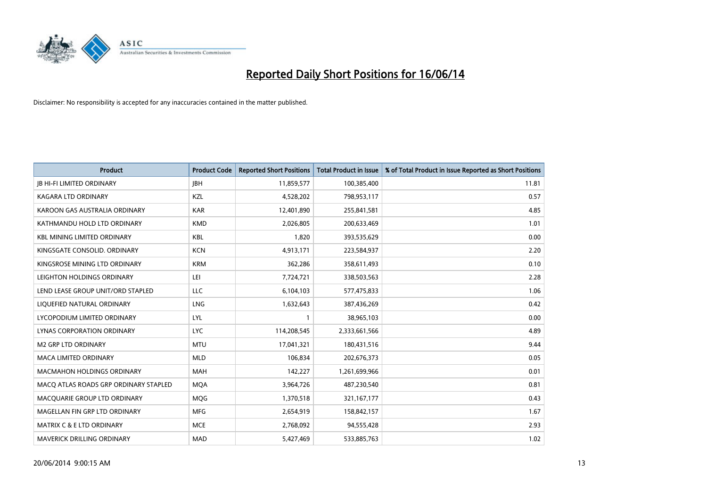

| <b>Product</b>                        | <b>Product Code</b> | <b>Reported Short Positions</b> | <b>Total Product in Issue</b> | % of Total Product in Issue Reported as Short Positions |
|---------------------------------------|---------------------|---------------------------------|-------------------------------|---------------------------------------------------------|
| <b>JB HI-FI LIMITED ORDINARY</b>      | <b>JBH</b>          | 11,859,577                      | 100,385,400                   | 11.81                                                   |
| KAGARA LTD ORDINARY                   | KZL                 | 4,528,202                       | 798,953,117                   | 0.57                                                    |
| KAROON GAS AUSTRALIA ORDINARY         | <b>KAR</b>          | 12,401,890                      | 255,841,581                   | 4.85                                                    |
| KATHMANDU HOLD LTD ORDINARY           | <b>KMD</b>          | 2,026,805                       | 200,633,469                   | 1.01                                                    |
| <b>KBL MINING LIMITED ORDINARY</b>    | <b>KBL</b>          | 1,820                           | 393,535,629                   | 0.00                                                    |
| KINGSGATE CONSOLID, ORDINARY          | <b>KCN</b>          | 4,913,171                       | 223,584,937                   | 2.20                                                    |
| KINGSROSE MINING LTD ORDINARY         | <b>KRM</b>          | 362,286                         | 358,611,493                   | 0.10                                                    |
| LEIGHTON HOLDINGS ORDINARY            | LEI                 | 7,724,721                       | 338,503,563                   | 2.28                                                    |
| LEND LEASE GROUP UNIT/ORD STAPLED     | <b>LLC</b>          | 6,104,103                       | 577,475,833                   | 1.06                                                    |
| LIQUEFIED NATURAL ORDINARY            | LNG                 | 1,632,643                       | 387,436,269                   | 0.42                                                    |
| LYCOPODIUM LIMITED ORDINARY           | <b>LYL</b>          | $\mathbf{1}$                    | 38,965,103                    | 0.00                                                    |
| <b>LYNAS CORPORATION ORDINARY</b>     | <b>LYC</b>          | 114,208,545                     | 2,333,661,566                 | 4.89                                                    |
| <b>M2 GRP LTD ORDINARY</b>            | <b>MTU</b>          | 17,041,321                      | 180,431,516                   | 9.44                                                    |
| <b>MACA LIMITED ORDINARY</b>          | <b>MLD</b>          | 106,834                         | 202,676,373                   | 0.05                                                    |
| <b>MACMAHON HOLDINGS ORDINARY</b>     | <b>MAH</b>          | 142,227                         | 1,261,699,966                 | 0.01                                                    |
| MACO ATLAS ROADS GRP ORDINARY STAPLED | <b>MOA</b>          | 3,964,726                       | 487,230,540                   | 0.81                                                    |
| MACQUARIE GROUP LTD ORDINARY          | MQG                 | 1,370,518                       | 321, 167, 177                 | 0.43                                                    |
| MAGELLAN FIN GRP LTD ORDINARY         | <b>MFG</b>          | 2,654,919                       | 158,842,157                   | 1.67                                                    |
| MATRIX C & E LTD ORDINARY             | <b>MCE</b>          | 2,768,092                       | 94,555,428                    | 2.93                                                    |
| MAVERICK DRILLING ORDINARY            | <b>MAD</b>          | 5,427,469                       | 533,885,763                   | 1.02                                                    |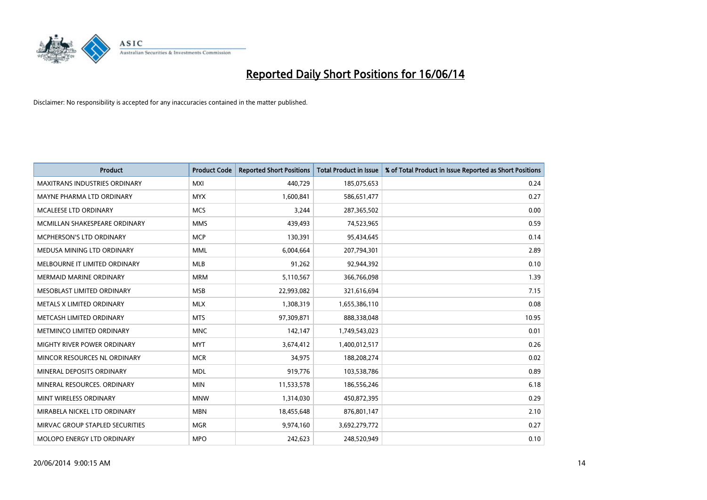

| <b>Product</b>                       | <b>Product Code</b> | <b>Reported Short Positions</b> | <b>Total Product in Issue</b> | % of Total Product in Issue Reported as Short Positions |
|--------------------------------------|---------------------|---------------------------------|-------------------------------|---------------------------------------------------------|
| <b>MAXITRANS INDUSTRIES ORDINARY</b> | <b>MXI</b>          | 440,729                         | 185,075,653                   | 0.24                                                    |
| MAYNE PHARMA LTD ORDINARY            | <b>MYX</b>          | 1,600,841                       | 586,651,477                   | 0.27                                                    |
| MCALEESE LTD ORDINARY                | <b>MCS</b>          | 3,244                           | 287,365,502                   | 0.00                                                    |
| MCMILLAN SHAKESPEARE ORDINARY        | <b>MMS</b>          | 439,493                         | 74,523,965                    | 0.59                                                    |
| <b>MCPHERSON'S LTD ORDINARY</b>      | <b>MCP</b>          | 130,391                         | 95,434,645                    | 0.14                                                    |
| MEDUSA MINING LTD ORDINARY           | <b>MML</b>          | 6,004,664                       | 207,794,301                   | 2.89                                                    |
| MELBOURNE IT LIMITED ORDINARY        | <b>MLB</b>          | 91,262                          | 92,944,392                    | 0.10                                                    |
| <b>MERMAID MARINE ORDINARY</b>       | <b>MRM</b>          | 5,110,567                       | 366,766,098                   | 1.39                                                    |
| MESOBLAST LIMITED ORDINARY           | <b>MSB</b>          | 22,993,082                      | 321,616,694                   | 7.15                                                    |
| METALS X LIMITED ORDINARY            | <b>MLX</b>          | 1,308,319                       | 1,655,386,110                 | 0.08                                                    |
| METCASH LIMITED ORDINARY             | <b>MTS</b>          | 97,309,871                      | 888,338,048                   | 10.95                                                   |
| METMINCO LIMITED ORDINARY            | <b>MNC</b>          | 142,147                         | 1,749,543,023                 | 0.01                                                    |
| MIGHTY RIVER POWER ORDINARY          | <b>MYT</b>          | 3,674,412                       | 1,400,012,517                 | 0.26                                                    |
| MINCOR RESOURCES NL ORDINARY         | <b>MCR</b>          | 34,975                          | 188,208,274                   | 0.02                                                    |
| MINERAL DEPOSITS ORDINARY            | <b>MDL</b>          | 919,776                         | 103,538,786                   | 0.89                                                    |
| MINERAL RESOURCES. ORDINARY          | <b>MIN</b>          | 11,533,578                      | 186,556,246                   | 6.18                                                    |
| MINT WIRELESS ORDINARY               | <b>MNW</b>          | 1,314,030                       | 450,872,395                   | 0.29                                                    |
| MIRABELA NICKEL LTD ORDINARY         | <b>MBN</b>          | 18,455,648                      | 876,801,147                   | 2.10                                                    |
| MIRVAC GROUP STAPLED SECURITIES      | <b>MGR</b>          | 9,974,160                       | 3,692,279,772                 | 0.27                                                    |
| MOLOPO ENERGY LTD ORDINARY           | <b>MPO</b>          | 242,623                         | 248,520,949                   | 0.10                                                    |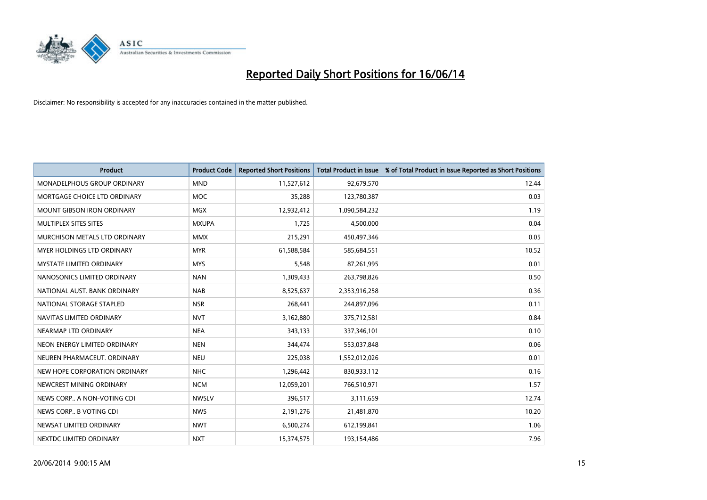

| <b>Product</b>                    | <b>Product Code</b> | <b>Reported Short Positions</b> | <b>Total Product in Issue</b> | % of Total Product in Issue Reported as Short Positions |
|-----------------------------------|---------------------|---------------------------------|-------------------------------|---------------------------------------------------------|
| MONADELPHOUS GROUP ORDINARY       | <b>MND</b>          | 11,527,612                      | 92,679,570                    | 12.44                                                   |
| MORTGAGE CHOICE LTD ORDINARY      | MOC                 | 35,288                          | 123,780,387                   | 0.03                                                    |
| <b>MOUNT GIBSON IRON ORDINARY</b> | <b>MGX</b>          | 12,932,412                      | 1,090,584,232                 | 1.19                                                    |
| MULTIPLEX SITES SITES             | <b>MXUPA</b>        | 1,725                           | 4,500,000                     | 0.04                                                    |
| MURCHISON METALS LTD ORDINARY     | <b>MMX</b>          | 215,291                         | 450,497,346                   | 0.05                                                    |
| MYER HOLDINGS LTD ORDINARY        | <b>MYR</b>          | 61,588,584                      | 585,684,551                   | 10.52                                                   |
| <b>MYSTATE LIMITED ORDINARY</b>   | <b>MYS</b>          | 5,548                           | 87,261,995                    | 0.01                                                    |
| NANOSONICS LIMITED ORDINARY       | <b>NAN</b>          | 1,309,433                       | 263,798,826                   | 0.50                                                    |
| NATIONAL AUST, BANK ORDINARY      | <b>NAB</b>          | 8,525,637                       | 2,353,916,258                 | 0.36                                                    |
| NATIONAL STORAGE STAPLED          | <b>NSR</b>          | 268,441                         | 244,897,096                   | 0.11                                                    |
| NAVITAS LIMITED ORDINARY          | <b>NVT</b>          | 3,162,880                       | 375,712,581                   | 0.84                                                    |
| NEARMAP LTD ORDINARY              | <b>NEA</b>          | 343,133                         | 337,346,101                   | 0.10                                                    |
| NEON ENERGY LIMITED ORDINARY      | <b>NEN</b>          | 344,474                         | 553,037,848                   | 0.06                                                    |
| NEUREN PHARMACEUT. ORDINARY       | <b>NEU</b>          | 225,038                         | 1,552,012,026                 | 0.01                                                    |
| NEW HOPE CORPORATION ORDINARY     | <b>NHC</b>          | 1,296,442                       | 830,933,112                   | 0.16                                                    |
| NEWCREST MINING ORDINARY          | <b>NCM</b>          | 12,059,201                      | 766,510,971                   | 1.57                                                    |
| NEWS CORP A NON-VOTING CDI        | <b>NWSLV</b>        | 396,517                         | 3,111,659                     | 12.74                                                   |
| NEWS CORP B VOTING CDI            | <b>NWS</b>          | 2,191,276                       | 21,481,870                    | 10.20                                                   |
| NEWSAT LIMITED ORDINARY           | <b>NWT</b>          | 6,500,274                       | 612,199,841                   | 1.06                                                    |
| NEXTDC LIMITED ORDINARY           | <b>NXT</b>          | 15,374,575                      | 193,154,486                   | 7.96                                                    |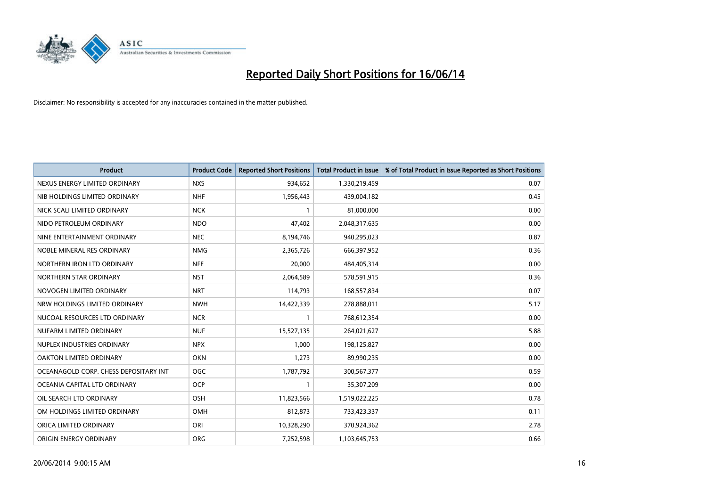

| <b>Product</b>                        | <b>Product Code</b> | <b>Reported Short Positions</b> | <b>Total Product in Issue</b> | % of Total Product in Issue Reported as Short Positions |
|---------------------------------------|---------------------|---------------------------------|-------------------------------|---------------------------------------------------------|
| NEXUS ENERGY LIMITED ORDINARY         | <b>NXS</b>          | 934,652                         | 1,330,219,459                 | 0.07                                                    |
| NIB HOLDINGS LIMITED ORDINARY         | <b>NHF</b>          | 1,956,443                       | 439,004,182                   | 0.45                                                    |
| NICK SCALI LIMITED ORDINARY           | <b>NCK</b>          | $\mathbf{1}$                    | 81,000,000                    | 0.00                                                    |
| NIDO PETROLEUM ORDINARY               | <b>NDO</b>          | 47,402                          | 2,048,317,635                 | 0.00                                                    |
| NINE ENTERTAINMENT ORDINARY           | <b>NEC</b>          | 8,194,746                       | 940,295,023                   | 0.87                                                    |
| NOBLE MINERAL RES ORDINARY            | <b>NMG</b>          | 2,365,726                       | 666,397,952                   | 0.36                                                    |
| NORTHERN IRON LTD ORDINARY            | <b>NFE</b>          | 20,000                          | 484,405,314                   | 0.00                                                    |
| NORTHERN STAR ORDINARY                | <b>NST</b>          | 2,064,589                       | 578,591,915                   | 0.36                                                    |
| NOVOGEN LIMITED ORDINARY              | <b>NRT</b>          | 114,793                         | 168,557,834                   | 0.07                                                    |
| NRW HOLDINGS LIMITED ORDINARY         | <b>NWH</b>          | 14,422,339                      | 278,888,011                   | 5.17                                                    |
| NUCOAL RESOURCES LTD ORDINARY         | <b>NCR</b>          |                                 | 768,612,354                   | 0.00                                                    |
| NUFARM LIMITED ORDINARY               | <b>NUF</b>          | 15,527,135                      | 264,021,627                   | 5.88                                                    |
| NUPLEX INDUSTRIES ORDINARY            | <b>NPX</b>          | 1,000                           | 198,125,827                   | 0.00                                                    |
| OAKTON LIMITED ORDINARY               | <b>OKN</b>          | 1,273                           | 89,990,235                    | 0.00                                                    |
| OCEANAGOLD CORP. CHESS DEPOSITARY INT | <b>OGC</b>          | 1,787,792                       | 300,567,377                   | 0.59                                                    |
| OCEANIA CAPITAL LTD ORDINARY          | <b>OCP</b>          | -1                              | 35,307,209                    | 0.00                                                    |
| OIL SEARCH LTD ORDINARY               | OSH                 | 11,823,566                      | 1,519,022,225                 | 0.78                                                    |
| OM HOLDINGS LIMITED ORDINARY          | OMH                 | 812,873                         | 733,423,337                   | 0.11                                                    |
| ORICA LIMITED ORDINARY                | ORI                 | 10,328,290                      | 370,924,362                   | 2.78                                                    |
| ORIGIN ENERGY ORDINARY                | <b>ORG</b>          | 7,252,598                       | 1,103,645,753                 | 0.66                                                    |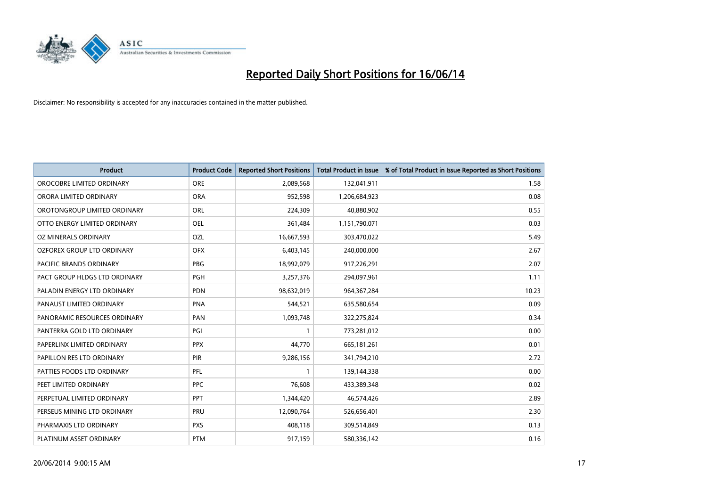

| <b>Product</b>                | <b>Product Code</b> | <b>Reported Short Positions</b> | <b>Total Product in Issue</b> | % of Total Product in Issue Reported as Short Positions |
|-------------------------------|---------------------|---------------------------------|-------------------------------|---------------------------------------------------------|
| OROCOBRE LIMITED ORDINARY     | <b>ORE</b>          | 2,089,568                       | 132,041,911                   | 1.58                                                    |
| ORORA LIMITED ORDINARY        | <b>ORA</b>          | 952,598                         | 1,206,684,923                 | 0.08                                                    |
| OROTONGROUP LIMITED ORDINARY  | <b>ORL</b>          | 224,309                         | 40,880,902                    | 0.55                                                    |
| OTTO ENERGY LIMITED ORDINARY  | <b>OEL</b>          | 361,484                         | 1,151,790,071                 | 0.03                                                    |
| OZ MINERALS ORDINARY          | OZL                 | 16,667,593                      | 303,470,022                   | 5.49                                                    |
| OZFOREX GROUP LTD ORDINARY    | <b>OFX</b>          | 6,403,145                       | 240,000,000                   | 2.67                                                    |
| PACIFIC BRANDS ORDINARY       | <b>PBG</b>          | 18,992,079                      | 917,226,291                   | 2.07                                                    |
| PACT GROUP HLDGS LTD ORDINARY | <b>PGH</b>          | 3,257,376                       | 294,097,961                   | 1.11                                                    |
| PALADIN ENERGY LTD ORDINARY   | <b>PDN</b>          | 98,632,019                      | 964, 367, 284                 | 10.23                                                   |
| PANAUST LIMITED ORDINARY      | <b>PNA</b>          | 544,521                         | 635,580,654                   | 0.09                                                    |
| PANORAMIC RESOURCES ORDINARY  | PAN                 | 1,093,748                       | 322,275,824                   | 0.34                                                    |
| PANTERRA GOLD LTD ORDINARY    | PGI                 | $\mathbf{1}$                    | 773,281,012                   | 0.00                                                    |
| PAPERLINX LIMITED ORDINARY    | <b>PPX</b>          | 44,770                          | 665,181,261                   | 0.01                                                    |
| PAPILLON RES LTD ORDINARY     | PIR                 | 9,286,156                       | 341,794,210                   | 2.72                                                    |
| PATTIES FOODS LTD ORDINARY    | PFL                 | $\mathbf{1}$                    | 139,144,338                   | 0.00                                                    |
| PEET LIMITED ORDINARY         | <b>PPC</b>          | 76,608                          | 433,389,348                   | 0.02                                                    |
| PERPETUAL LIMITED ORDINARY    | PPT                 | 1,344,420                       | 46,574,426                    | 2.89                                                    |
| PERSEUS MINING LTD ORDINARY   | <b>PRU</b>          | 12,090,764                      | 526,656,401                   | 2.30                                                    |
| PHARMAXIS LTD ORDINARY        | <b>PXS</b>          | 408,118                         | 309,514,849                   | 0.13                                                    |
| PLATINUM ASSET ORDINARY       | <b>PTM</b>          | 917,159                         | 580,336,142                   | 0.16                                                    |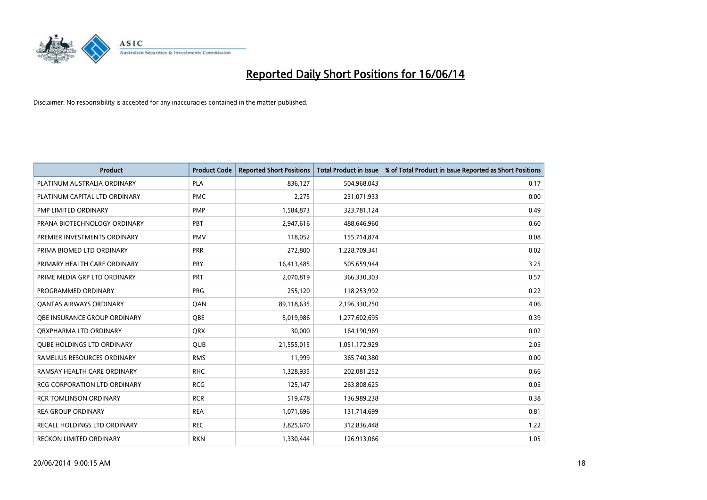

| <b>Product</b>                      | <b>Product Code</b> | <b>Reported Short Positions</b> | <b>Total Product in Issue</b> | % of Total Product in Issue Reported as Short Positions |
|-------------------------------------|---------------------|---------------------------------|-------------------------------|---------------------------------------------------------|
| PLATINUM AUSTRALIA ORDINARY         | <b>PLA</b>          | 836,127                         | 504,968,043                   | 0.17                                                    |
| PLATINUM CAPITAL LTD ORDINARY       | <b>PMC</b>          | 2,275                           | 231,071,933                   | 0.00                                                    |
| PMP LIMITED ORDINARY                | <b>PMP</b>          | 1,584,873                       | 323,781,124                   | 0.49                                                    |
| PRANA BIOTECHNOLOGY ORDINARY        | PBT                 | 2,947,616                       | 488,646,960                   | 0.60                                                    |
| PREMIER INVESTMENTS ORDINARY        | <b>PMV</b>          | 118,052                         | 155,714,874                   | 0.08                                                    |
| PRIMA BIOMED LTD ORDINARY           | <b>PRR</b>          | 272,800                         | 1,228,709,341                 | 0.02                                                    |
| PRIMARY HEALTH CARE ORDINARY        | <b>PRY</b>          | 16,413,485                      | 505,659,944                   | 3.25                                                    |
| PRIME MEDIA GRP LTD ORDINARY        | <b>PRT</b>          | 2,070,819                       | 366,330,303                   | 0.57                                                    |
| PROGRAMMED ORDINARY                 | <b>PRG</b>          | 255,120                         | 118,253,992                   | 0.22                                                    |
| <b>QANTAS AIRWAYS ORDINARY</b>      | QAN                 | 89,118,635                      | 2,196,330,250                 | 4.06                                                    |
| <b>OBE INSURANCE GROUP ORDINARY</b> | <b>OBE</b>          | 5,019,986                       | 1,277,602,695                 | 0.39                                                    |
| ORXPHARMA LTD ORDINARY              | QRX                 | 30,000                          | 164,190,969                   | 0.02                                                    |
| <b>QUBE HOLDINGS LTD ORDINARY</b>   | <b>QUB</b>          | 21,555,015                      | 1,051,172,929                 | 2.05                                                    |
| RAMELIUS RESOURCES ORDINARY         | <b>RMS</b>          | 11,999                          | 365,740,380                   | 0.00                                                    |
| RAMSAY HEALTH CARE ORDINARY         | <b>RHC</b>          | 1,328,935                       | 202,081,252                   | 0.66                                                    |
| RCG CORPORATION LTD ORDINARY        | <b>RCG</b>          | 125,147                         | 263,808,625                   | 0.05                                                    |
| <b>RCR TOMLINSON ORDINARY</b>       | <b>RCR</b>          | 519,478                         | 136,989,238                   | 0.38                                                    |
| <b>REA GROUP ORDINARY</b>           | <b>REA</b>          | 1,071,696                       | 131,714,699                   | 0.81                                                    |
| RECALL HOLDINGS LTD ORDINARY        | <b>REC</b>          | 3,825,670                       | 312,836,448                   | 1.22                                                    |
| RECKON LIMITED ORDINARY             | <b>RKN</b>          | 1,330,444                       | 126,913,066                   | 1.05                                                    |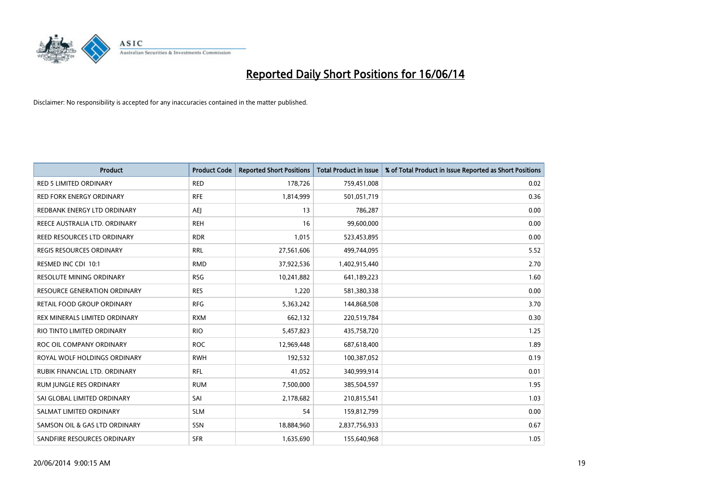

| <b>Product</b>                      | <b>Product Code</b> | <b>Reported Short Positions</b> | <b>Total Product in Issue</b> | % of Total Product in Issue Reported as Short Positions |
|-------------------------------------|---------------------|---------------------------------|-------------------------------|---------------------------------------------------------|
| <b>RED 5 LIMITED ORDINARY</b>       | <b>RED</b>          | 178,726                         | 759,451,008                   | 0.02                                                    |
| <b>RED FORK ENERGY ORDINARY</b>     | <b>RFE</b>          | 1,814,999                       | 501,051,719                   | 0.36                                                    |
| REDBANK ENERGY LTD ORDINARY         | AEJ                 | 13                              | 786,287                       | 0.00                                                    |
| REECE AUSTRALIA LTD. ORDINARY       | <b>REH</b>          | 16                              | 99,600,000                    | 0.00                                                    |
| REED RESOURCES LTD ORDINARY         | <b>RDR</b>          | 1,015                           | 523,453,895                   | 0.00                                                    |
| <b>REGIS RESOURCES ORDINARY</b>     | <b>RRL</b>          | 27,561,606                      | 499,744,095                   | 5.52                                                    |
| RESMED INC CDI 10:1                 | <b>RMD</b>          | 37,922,536                      | 1,402,915,440                 | 2.70                                                    |
| RESOLUTE MINING ORDINARY            | <b>RSG</b>          | 10,241,882                      | 641,189,223                   | 1.60                                                    |
| <b>RESOURCE GENERATION ORDINARY</b> | <b>RES</b>          | 1,220                           | 581,380,338                   | 0.00                                                    |
| <b>RETAIL FOOD GROUP ORDINARY</b>   | <b>RFG</b>          | 5,363,242                       | 144,868,508                   | 3.70                                                    |
| REX MINERALS LIMITED ORDINARY       | <b>RXM</b>          | 662,132                         | 220,519,784                   | 0.30                                                    |
| RIO TINTO LIMITED ORDINARY          | <b>RIO</b>          | 5,457,823                       | 435,758,720                   | 1.25                                                    |
| ROC OIL COMPANY ORDINARY            | <b>ROC</b>          | 12,969,448                      | 687,618,400                   | 1.89                                                    |
| ROYAL WOLF HOLDINGS ORDINARY        | <b>RWH</b>          | 192,532                         | 100,387,052                   | 0.19                                                    |
| RUBIK FINANCIAL LTD, ORDINARY       | <b>RFL</b>          | 41,052                          | 340,999,914                   | 0.01                                                    |
| RUM JUNGLE RES ORDINARY             | <b>RUM</b>          | 7,500,000                       | 385,504,597                   | 1.95                                                    |
| SAI GLOBAL LIMITED ORDINARY         | SAI                 | 2,178,682                       | 210,815,541                   | 1.03                                                    |
| SALMAT LIMITED ORDINARY             | <b>SLM</b>          | 54                              | 159,812,799                   | 0.00                                                    |
| SAMSON OIL & GAS LTD ORDINARY       | SSN                 | 18,884,960                      | 2,837,756,933                 | 0.67                                                    |
| SANDFIRE RESOURCES ORDINARY         | <b>SFR</b>          | 1,635,690                       | 155,640,968                   | 1.05                                                    |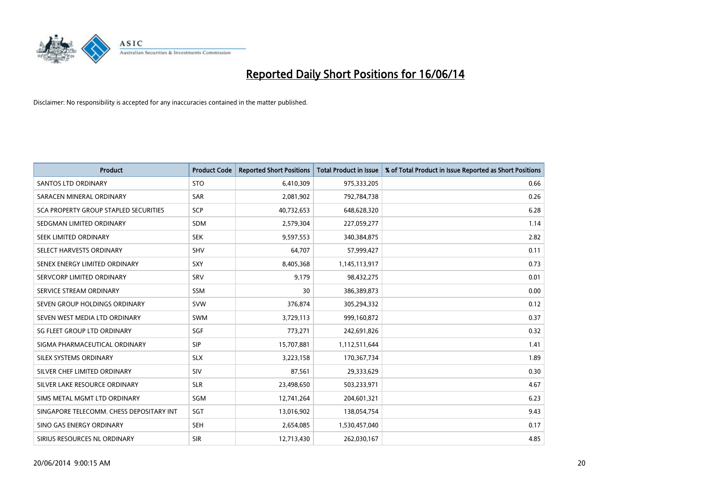

| <b>Product</b>                           | <b>Product Code</b> | <b>Reported Short Positions</b> | <b>Total Product in Issue</b> | % of Total Product in Issue Reported as Short Positions |
|------------------------------------------|---------------------|---------------------------------|-------------------------------|---------------------------------------------------------|
| <b>SANTOS LTD ORDINARY</b>               | <b>STO</b>          | 6,410,309                       | 975,333,205                   | 0.66                                                    |
| SARACEN MINERAL ORDINARY                 | <b>SAR</b>          | 2,081,902                       | 792,784,738                   | 0.26                                                    |
| SCA PROPERTY GROUP STAPLED SECURITIES    | SCP                 | 40,732,653                      | 648,628,320                   | 6.28                                                    |
| SEDGMAN LIMITED ORDINARY                 | <b>SDM</b>          | 2,579,304                       | 227,059,277                   | 1.14                                                    |
| SEEK LIMITED ORDINARY                    | <b>SEK</b>          | 9,597,553                       | 340,384,875                   | 2.82                                                    |
| SELECT HARVESTS ORDINARY                 | <b>SHV</b>          | 64,707                          | 57,999,427                    | 0.11                                                    |
| SENEX ENERGY LIMITED ORDINARY            | SXY                 | 8,405,368                       | 1,145,113,917                 | 0.73                                                    |
| SERVCORP LIMITED ORDINARY                | SRV                 | 9,179                           | 98,432,275                    | 0.01                                                    |
| SERVICE STREAM ORDINARY                  | <b>SSM</b>          | 30                              | 386,389,873                   | 0.00                                                    |
| SEVEN GROUP HOLDINGS ORDINARY            | <b>SVW</b>          | 376,874                         | 305,294,332                   | 0.12                                                    |
| SEVEN WEST MEDIA LTD ORDINARY            | <b>SWM</b>          | 3,729,113                       | 999,160,872                   | 0.37                                                    |
| SG FLEET GROUP LTD ORDINARY              | SGF                 | 773,271                         | 242,691,826                   | 0.32                                                    |
| SIGMA PHARMACEUTICAL ORDINARY            | <b>SIP</b>          | 15,707,881                      | 1,112,511,644                 | 1.41                                                    |
| SILEX SYSTEMS ORDINARY                   | <b>SLX</b>          | 3,223,158                       | 170,367,734                   | 1.89                                                    |
| SILVER CHEF LIMITED ORDINARY             | SIV                 | 87,561                          | 29,333,629                    | 0.30                                                    |
| SILVER LAKE RESOURCE ORDINARY            | <b>SLR</b>          | 23,498,650                      | 503,233,971                   | 4.67                                                    |
| SIMS METAL MGMT LTD ORDINARY             | SGM                 | 12,741,264                      | 204,601,321                   | 6.23                                                    |
| SINGAPORE TELECOMM. CHESS DEPOSITARY INT | SGT                 | 13,016,902                      | 138,054,754                   | 9.43                                                    |
| SINO GAS ENERGY ORDINARY                 | <b>SEH</b>          | 2,654,085                       | 1,530,457,040                 | 0.17                                                    |
| SIRIUS RESOURCES NL ORDINARY             | <b>SIR</b>          | 12,713,430                      | 262,030,167                   | 4.85                                                    |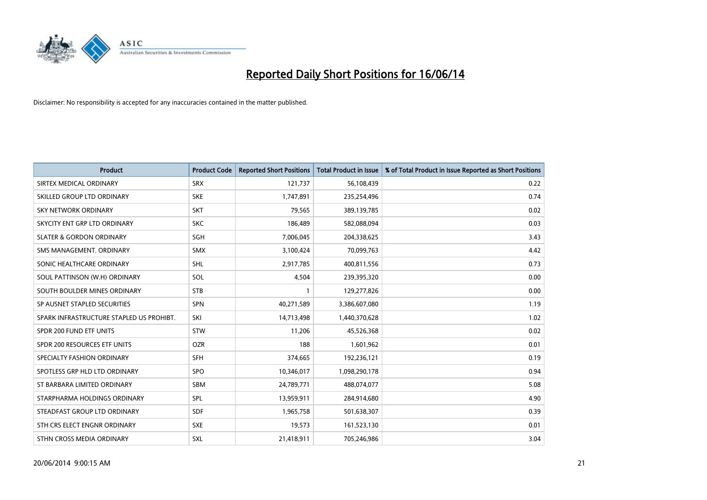

| <b>Product</b>                           | <b>Product Code</b> | <b>Reported Short Positions</b> | <b>Total Product in Issue</b> | % of Total Product in Issue Reported as Short Positions |
|------------------------------------------|---------------------|---------------------------------|-------------------------------|---------------------------------------------------------|
| SIRTEX MEDICAL ORDINARY                  | <b>SRX</b>          | 121,737                         | 56,108,439                    | 0.22                                                    |
| SKILLED GROUP LTD ORDINARY               | <b>SKE</b>          | 1,747,891                       | 235,254,496                   | 0.74                                                    |
| <b>SKY NETWORK ORDINARY</b>              | <b>SKT</b>          | 79,565                          | 389,139,785                   | 0.02                                                    |
| SKYCITY ENT GRP LTD ORDINARY             | <b>SKC</b>          | 186,489                         | 582,088,094                   | 0.03                                                    |
| <b>SLATER &amp; GORDON ORDINARY</b>      | SGH                 | 7,006,045                       | 204,338,625                   | 3.43                                                    |
| SMS MANAGEMENT, ORDINARY                 | <b>SMX</b>          | 3,100,424                       | 70,099,763                    | 4.42                                                    |
| SONIC HEALTHCARE ORDINARY                | <b>SHL</b>          | 2,917,785                       | 400,811,556                   | 0.73                                                    |
| SOUL PATTINSON (W.H) ORDINARY            | SOL                 | 4,504                           | 239,395,320                   | 0.00                                                    |
| SOUTH BOULDER MINES ORDINARY             | <b>STB</b>          | $\mathbf{1}$                    | 129,277,826                   | 0.00                                                    |
| SP AUSNET STAPLED SECURITIES             | <b>SPN</b>          | 40,271,589                      | 3,386,607,080                 | 1.19                                                    |
| SPARK INFRASTRUCTURE STAPLED US PROHIBT. | SKI                 | 14,713,498                      | 1,440,370,628                 | 1.02                                                    |
| SPDR 200 FUND ETF UNITS                  | <b>STW</b>          | 11,206                          | 45,526,368                    | 0.02                                                    |
| SPDR 200 RESOURCES ETF UNITS             | <b>OZR</b>          | 188                             | 1,601,962                     | 0.01                                                    |
| SPECIALTY FASHION ORDINARY               | SFH                 | 374,665                         | 192,236,121                   | 0.19                                                    |
| SPOTLESS GRP HLD LTD ORDINARY            | <b>SPO</b>          | 10,346,017                      | 1,098,290,178                 | 0.94                                                    |
| ST BARBARA LIMITED ORDINARY              | SBM                 | 24,789,771                      | 488,074,077                   | 5.08                                                    |
| STARPHARMA HOLDINGS ORDINARY             | SPL                 | 13,959,911                      | 284,914,680                   | 4.90                                                    |
| STEADFAST GROUP LTD ORDINARY             | <b>SDF</b>          | 1,965,758                       | 501,638,307                   | 0.39                                                    |
| STH CRS ELECT ENGNR ORDINARY             | <b>SXE</b>          | 19,573                          | 161,523,130                   | 0.01                                                    |
| STHN CROSS MEDIA ORDINARY                | SXL                 | 21,418,911                      | 705,246,986                   | 3.04                                                    |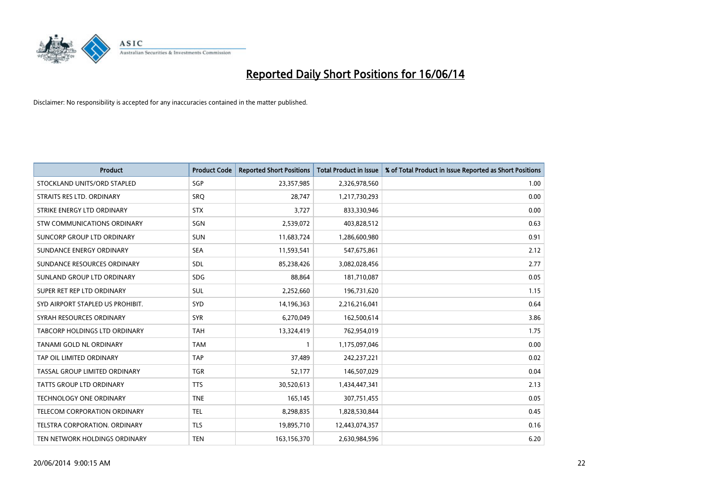

| <b>Product</b>                   | <b>Product Code</b> | <b>Reported Short Positions</b> | <b>Total Product in Issue</b> | % of Total Product in Issue Reported as Short Positions |
|----------------------------------|---------------------|---------------------------------|-------------------------------|---------------------------------------------------------|
| STOCKLAND UNITS/ORD STAPLED      | SGP                 | 23,357,985                      | 2,326,978,560                 | 1.00                                                    |
| STRAITS RES LTD. ORDINARY        | <b>SRQ</b>          | 28,747                          | 1,217,730,293                 | 0.00                                                    |
| STRIKE ENERGY LTD ORDINARY       | <b>STX</b>          | 3,727                           | 833,330,946                   | 0.00                                                    |
| STW COMMUNICATIONS ORDINARY      | SGN                 | 2,539,072                       | 403,828,512                   | 0.63                                                    |
| SUNCORP GROUP LTD ORDINARY       | <b>SUN</b>          | 11,683,724                      | 1,286,600,980                 | 0.91                                                    |
| SUNDANCE ENERGY ORDINARY         | <b>SEA</b>          | 11,593,541                      | 547,675,861                   | 2.12                                                    |
| SUNDANCE RESOURCES ORDINARY      | SDL                 | 85,238,426                      | 3,082,028,456                 | 2.77                                                    |
| SUNLAND GROUP LTD ORDINARY       | <b>SDG</b>          | 88,864                          | 181,710,087                   | 0.05                                                    |
| SUPER RET REP LTD ORDINARY       | <b>SUL</b>          | 2,252,660                       | 196,731,620                   | 1.15                                                    |
| SYD AIRPORT STAPLED US PROHIBIT. | SYD                 | 14,196,363                      | 2,216,216,041                 | 0.64                                                    |
| SYRAH RESOURCES ORDINARY         | <b>SYR</b>          | 6,270,049                       | 162,500,614                   | 3.86                                                    |
| TABCORP HOLDINGS LTD ORDINARY    | <b>TAH</b>          | 13,324,419                      | 762,954,019                   | 1.75                                                    |
| TANAMI GOLD NL ORDINARY          | <b>TAM</b>          | $\mathbf{1}$                    | 1,175,097,046                 | 0.00                                                    |
| TAP OIL LIMITED ORDINARY         | <b>TAP</b>          | 37,489                          | 242,237,221                   | 0.02                                                    |
| TASSAL GROUP LIMITED ORDINARY    | <b>TGR</b>          | 52,177                          | 146,507,029                   | 0.04                                                    |
| TATTS GROUP LTD ORDINARY         | <b>TTS</b>          | 30,520,613                      | 1,434,447,341                 | 2.13                                                    |
| TECHNOLOGY ONE ORDINARY          | <b>TNE</b>          | 165,145                         | 307,751,455                   | 0.05                                                    |
| TELECOM CORPORATION ORDINARY     | <b>TEL</b>          | 8,298,835                       | 1,828,530,844                 | 0.45                                                    |
| TELSTRA CORPORATION, ORDINARY    | <b>TLS</b>          | 19,895,710                      | 12,443,074,357                | 0.16                                                    |
| TEN NETWORK HOLDINGS ORDINARY    | <b>TEN</b>          | 163,156,370                     | 2,630,984,596                 | 6.20                                                    |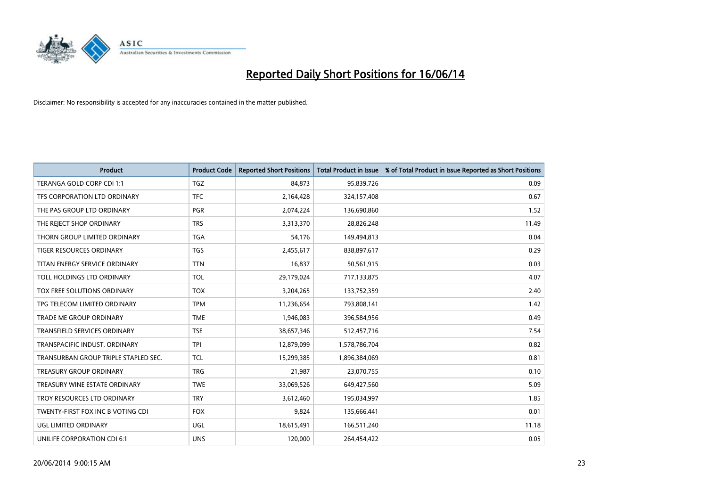

| <b>Product</b>                       | <b>Product Code</b> | <b>Reported Short Positions</b> | <b>Total Product in Issue</b> | % of Total Product in Issue Reported as Short Positions |
|--------------------------------------|---------------------|---------------------------------|-------------------------------|---------------------------------------------------------|
| TERANGA GOLD CORP CDI 1:1            | <b>TGZ</b>          | 84.873                          | 95,839,726                    | 0.09                                                    |
| TFS CORPORATION LTD ORDINARY         | <b>TFC</b>          | 2,164,428                       | 324,157,408                   | 0.67                                                    |
| THE PAS GROUP LTD ORDINARY           | <b>PGR</b>          | 2,074,224                       | 136,690,860                   | 1.52                                                    |
| THE REJECT SHOP ORDINARY             | <b>TRS</b>          | 3,313,370                       | 28,826,248                    | 11.49                                                   |
| THORN GROUP LIMITED ORDINARY         | <b>TGA</b>          | 54,176                          | 149,494,813                   | 0.04                                                    |
| <b>TIGER RESOURCES ORDINARY</b>      | <b>TGS</b>          | 2,455,617                       | 838,897,617                   | 0.29                                                    |
| TITAN ENERGY SERVICE ORDINARY        | <b>TTN</b>          | 16,837                          | 50,561,915                    | 0.03                                                    |
| TOLL HOLDINGS LTD ORDINARY           | <b>TOL</b>          | 29,179,024                      | 717,133,875                   | 4.07                                                    |
| <b>TOX FREE SOLUTIONS ORDINARY</b>   | <b>TOX</b>          | 3,204,265                       | 133,752,359                   | 2.40                                                    |
| TPG TELECOM LIMITED ORDINARY         | <b>TPM</b>          | 11,236,654                      | 793,808,141                   | 1.42                                                    |
| TRADE ME GROUP ORDINARY              | <b>TME</b>          | 1,946,083                       | 396,584,956                   | 0.49                                                    |
| <b>TRANSFIELD SERVICES ORDINARY</b>  | <b>TSE</b>          | 38,657,346                      | 512,457,716                   | 7.54                                                    |
| TRANSPACIFIC INDUST. ORDINARY        | <b>TPI</b>          | 12,879,099                      | 1,578,786,704                 | 0.82                                                    |
| TRANSURBAN GROUP TRIPLE STAPLED SEC. | TCL                 | 15,299,385                      | 1,896,384,069                 | 0.81                                                    |
| <b>TREASURY GROUP ORDINARY</b>       | <b>TRG</b>          | 21,987                          | 23,070,755                    | 0.10                                                    |
| TREASURY WINE ESTATE ORDINARY        | <b>TWE</b>          | 33,069,526                      | 649,427,560                   | 5.09                                                    |
| TROY RESOURCES LTD ORDINARY          | <b>TRY</b>          | 3,612,460                       | 195,034,997                   | 1.85                                                    |
| TWENTY-FIRST FOX INC B VOTING CDI    | <b>FOX</b>          | 9,824                           | 135,666,441                   | 0.01                                                    |
| UGL LIMITED ORDINARY                 | UGL                 | 18,615,491                      | 166,511,240                   | 11.18                                                   |
| UNILIFE CORPORATION CDI 6:1          | <b>UNS</b>          | 120,000                         | 264,454,422                   | 0.05                                                    |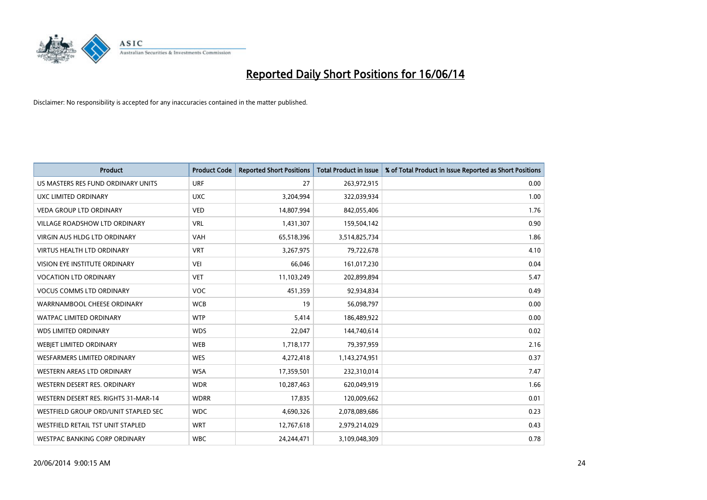

| <b>Product</b>                       | <b>Product Code</b> | <b>Reported Short Positions</b> | <b>Total Product in Issue</b> | % of Total Product in Issue Reported as Short Positions |
|--------------------------------------|---------------------|---------------------------------|-------------------------------|---------------------------------------------------------|
| US MASTERS RES FUND ORDINARY UNITS   | <b>URF</b>          | 27                              | 263,972,915                   | 0.00                                                    |
| UXC LIMITED ORDINARY                 | <b>UXC</b>          | 3,204,994                       | 322,039,934                   | 1.00                                                    |
| <b>VEDA GROUP LTD ORDINARY</b>       | <b>VED</b>          | 14,807,994                      | 842,055,406                   | 1.76                                                    |
| <b>VILLAGE ROADSHOW LTD ORDINARY</b> | <b>VRL</b>          | 1,431,307                       | 159,504,142                   | 0.90                                                    |
| <b>VIRGIN AUS HLDG LTD ORDINARY</b>  | <b>VAH</b>          | 65,518,396                      | 3,514,825,734                 | 1.86                                                    |
| <b>VIRTUS HEALTH LTD ORDINARY</b>    | <b>VRT</b>          | 3,267,975                       | 79,722,678                    | 4.10                                                    |
| <b>VISION EYE INSTITUTE ORDINARY</b> | <b>VEI</b>          | 66,046                          | 161,017,230                   | 0.04                                                    |
| <b>VOCATION LTD ORDINARY</b>         | <b>VET</b>          | 11,103,249                      | 202,899,894                   | 5.47                                                    |
| <b>VOCUS COMMS LTD ORDINARY</b>      | VOC                 | 451,359                         | 92,934,834                    | 0.49                                                    |
| WARRNAMBOOL CHEESE ORDINARY          | <b>WCB</b>          | 19                              | 56,098,797                    | 0.00                                                    |
| <b>WATPAC LIMITED ORDINARY</b>       | <b>WTP</b>          | 5,414                           | 186,489,922                   | 0.00                                                    |
| <b>WDS LIMITED ORDINARY</b>          | <b>WDS</b>          | 22,047                          | 144,740,614                   | 0.02                                                    |
| WEBIET LIMITED ORDINARY              | <b>WEB</b>          | 1,718,177                       | 79,397,959                    | 2.16                                                    |
| <b>WESFARMERS LIMITED ORDINARY</b>   | <b>WES</b>          | 4,272,418                       | 1,143,274,951                 | 0.37                                                    |
| <b>WESTERN AREAS LTD ORDINARY</b>    | <b>WSA</b>          | 17,359,501                      | 232,310,014                   | 7.47                                                    |
| WESTERN DESERT RES. ORDINARY         | <b>WDR</b>          | 10,287,463                      | 620,049,919                   | 1.66                                                    |
| WESTERN DESERT RES. RIGHTS 31-MAR-14 | <b>WDRR</b>         | 17,835                          | 120,009,662                   | 0.01                                                    |
| WESTFIELD GROUP ORD/UNIT STAPLED SEC | <b>WDC</b>          | 4,690,326                       | 2,078,089,686                 | 0.23                                                    |
| WESTFIELD RETAIL TST UNIT STAPLED    | <b>WRT</b>          | 12,767,618                      | 2,979,214,029                 | 0.43                                                    |
| WESTPAC BANKING CORP ORDINARY        | <b>WBC</b>          | 24,244,471                      | 3,109,048,309                 | 0.78                                                    |